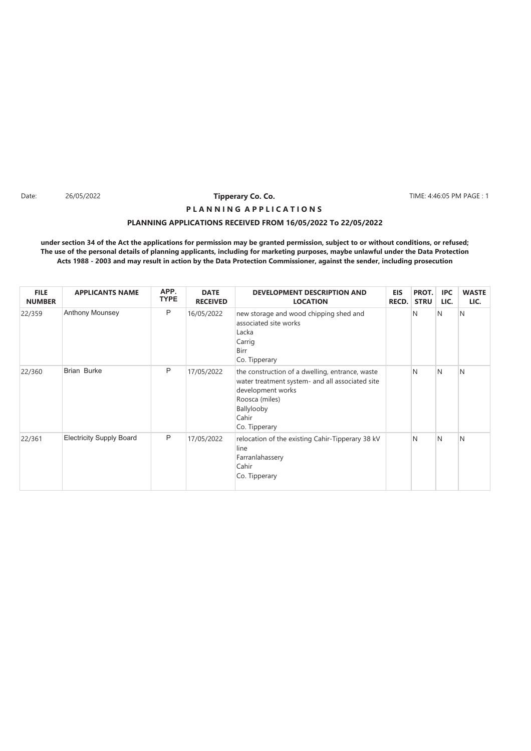Date: 26/05/2022 **Tipperary Co. Co. The Co. 2008 TIME: 4:46:05 PM PAGE : 1** 

# **PLANNING APPLICATIONS RECEIVED FROM 16/05/2022 To 22/05/2022 P L A N N I N G A P P L I C A T I O N S**

| <b>FILE</b><br><b>NUMBER</b> | <b>APPLICANTS NAME</b>          | APP.<br><b>TYPE</b> | <b>DATE</b><br><b>RECEIVED</b> | <b>DEVELOPMENT DESCRIPTION AND</b><br><b>LOCATION</b>                                                                                                                             | <b>EIS</b><br><b>RECD.</b> | PROT.<br><b>STRU</b> | <b>IPC</b><br>LIC. | <b>WASTE</b><br>LIC. |
|------------------------------|---------------------------------|---------------------|--------------------------------|-----------------------------------------------------------------------------------------------------------------------------------------------------------------------------------|----------------------------|----------------------|--------------------|----------------------|
| 22/359                       | Anthony Mounsey                 | P                   | 16/05/2022                     | new storage and wood chipping shed and<br>associated site works<br>Lacka<br>Carrig<br>Birr<br>Co. Tipperary                                                                       |                            | N                    | N                  | <sup>N</sup>         |
| 22/360                       | <b>Brian Burke</b>              | P                   | 17/05/2022                     | the construction of a dwelling, entrance, waste<br>water treatment system- and all associated site<br>development works<br>Roosca (miles)<br>Ballylooby<br>Cahir<br>Co. Tipperary |                            | N                    | N                  | N                    |
| 22/361                       | <b>Electricity Supply Board</b> | P                   | 17/05/2022                     | relocation of the existing Cahir-Tipperary 38 kV<br>line<br>Farranlahassery<br>Cahir<br>Co. Tipperary                                                                             |                            | N                    | N                  | N                    |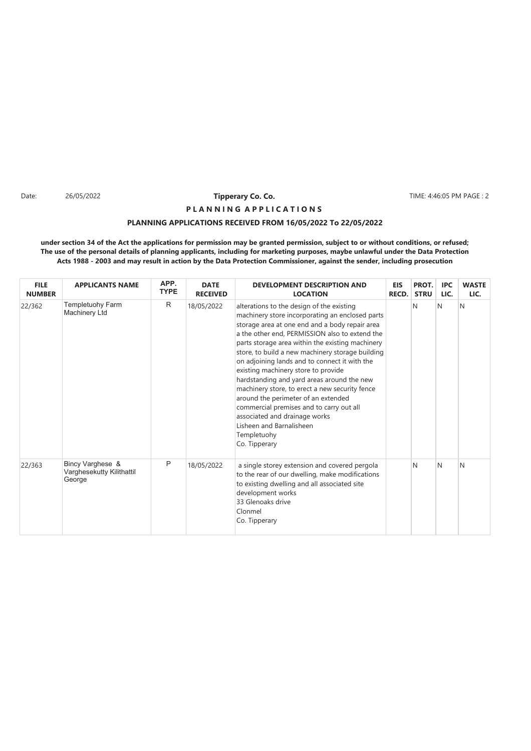Date: 26/05/2022 **Tipperary Co. Co. The Co. 2008 TIME: 4:46:05 PM PAGE : 2** 

# **PLANNING APPLICATIONS RECEIVED FROM 16/05/2022 To 22/05/2022 P L A N N I N G A P P L I C A T I O N S**

| <b>FILE</b><br><b>NUMBER</b> | <b>APPLICANTS NAME</b>                                  | APP.<br><b>TYPE</b> | <b>DATE</b><br><b>RECEIVED</b> | <b>DEVELOPMENT DESCRIPTION AND</b><br><b>LOCATION</b>                                                                                                                                                                                                                                                                                                                                                                                                                                                                                                                                                                                                                            | <b>EIS</b><br>RECD. | PROT.<br><b>STRU</b> | <b>IPC</b><br>LIC. | <b>WASTE</b><br>LIC. |
|------------------------------|---------------------------------------------------------|---------------------|--------------------------------|----------------------------------------------------------------------------------------------------------------------------------------------------------------------------------------------------------------------------------------------------------------------------------------------------------------------------------------------------------------------------------------------------------------------------------------------------------------------------------------------------------------------------------------------------------------------------------------------------------------------------------------------------------------------------------|---------------------|----------------------|--------------------|----------------------|
| 22/362                       | Templetuohy Farm<br>Machinery Ltd                       | R                   | 18/05/2022                     | alterations to the design of the existing<br>machinery store incorporating an enclosed parts<br>storage area at one end and a body repair area<br>a the other end, PERMISSION also to extend the<br>parts storage area within the existing machinery<br>store, to build a new machinery storage building<br>on adjoining lands and to connect it with the<br>existing machinery store to provide<br>hardstanding and yard areas around the new<br>machinery store, to erect a new security fence<br>around the perimeter of an extended<br>commercial premises and to carry out all<br>associated and drainage works<br>Lisheen and Barnalisheen<br>Templetuohy<br>Co. Tipperary |                     | N                    | N                  | <sup>N</sup>         |
| 22/363                       | Bincy Varghese &<br>Varghesekutty Kilithattil<br>George | P                   | 18/05/2022                     | a single storey extension and covered pergola<br>to the rear of our dwelling, make modifications<br>to existing dwelling and all associated site<br>development works<br>33 Glenoaks drive<br>Clonmel<br>Co. Tipperary                                                                                                                                                                                                                                                                                                                                                                                                                                                           |                     | N                    | N                  | N                    |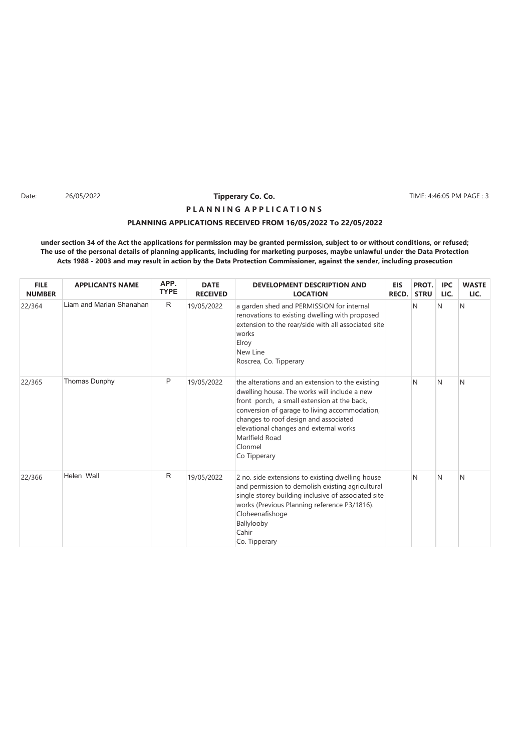Date: 26/05/2022 **Tipperary Co. Co. The Co. 2008 TIME:** 4:46:05 PM PAGE : 3

# **PLANNING APPLICATIONS RECEIVED FROM 16/05/2022 To 22/05/2022 P L A N N I N G A P P L I C A T I O N S**

| <b>FILE</b><br><b>NUMBER</b> | <b>APPLICANTS NAME</b>   | APP.<br><b>TYPE</b> | <b>DATE</b><br><b>RECEIVED</b> | <b>DEVELOPMENT DESCRIPTION AND</b><br><b>LOCATION</b>                                                                                                                                                                                                                                                                            | <b>EIS</b><br><b>RECD.</b> | PROT.<br><b>STRU</b> | <b>IPC</b><br>LIC. | <b>WASTE</b><br>LIC. |
|------------------------------|--------------------------|---------------------|--------------------------------|----------------------------------------------------------------------------------------------------------------------------------------------------------------------------------------------------------------------------------------------------------------------------------------------------------------------------------|----------------------------|----------------------|--------------------|----------------------|
| 22/364                       | Liam and Marian Shanahan | R                   | 19/05/2022                     | a garden shed and PERMISSION for internal<br>renovations to existing dwelling with proposed<br>extension to the rear/side with all associated site<br>works<br>Elroy<br>New Line<br>Roscrea, Co. Tipperary                                                                                                                       |                            | N                    | N                  | N                    |
| 22/365                       | Thomas Dunphy            | P                   | 19/05/2022                     | the alterations and an extension to the existing<br>dwelling house. The works will include a new<br>front porch, a small extension at the back,<br>conversion of garage to living accommodation,<br>changes to roof design and associated<br>elevational changes and external works<br>Marlfield Road<br>Clonmel<br>Co Tipperary |                            | N                    | N                  | N                    |
| 22/366                       | Helen Wall               | R                   | 19/05/2022                     | 2 no. side extensions to existing dwelling house<br>and permission to demolish existing agricultural<br>single storey building inclusive of associated site<br>works (Previous Planning reference P3/1816).<br>Cloheenafishoge<br>Ballylooby<br>Cahir<br>Co. Tipperary                                                           |                            | N                    | N                  | N                    |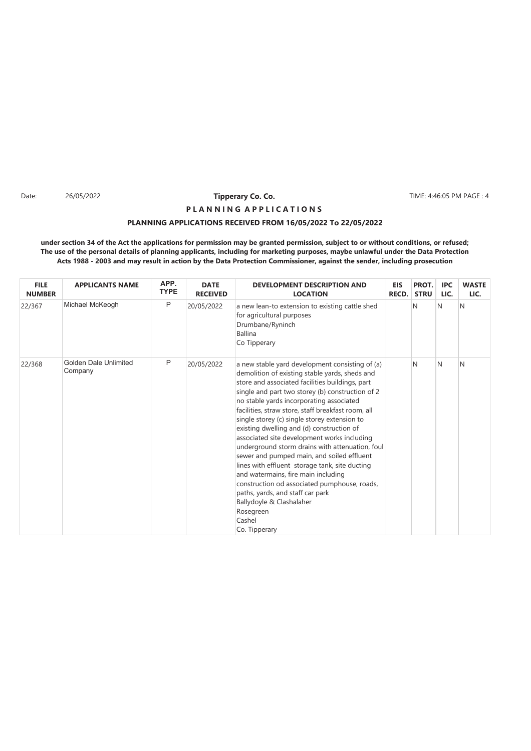Date: 26/05/2022 **Tipperary Co. Co. The Co. 1999 TIME: 4:46:05 PM PAGE : 4** 

# **PLANNING APPLICATIONS RECEIVED FROM 16/05/2022 To 22/05/2022 P L A N N I N G A P P L I C A T I O N S**

| <b>FILE</b><br><b>NUMBER</b> | <b>APPLICANTS NAME</b>           | APP.<br><b>TYPE</b> | <b>DATE</b><br><b>RECEIVED</b> | <b>DEVELOPMENT DESCRIPTION AND</b><br><b>LOCATION</b>                                                                                                                                                                                                                                                                                                                                                                                                                                                                                                                                                                                                                                                                                                                                                    | <b>EIS</b><br>RECD. | PROT.<br><b>STRU</b> | <b>IPC</b><br>LIC. | <b>WASTE</b><br>LIC. |
|------------------------------|----------------------------------|---------------------|--------------------------------|----------------------------------------------------------------------------------------------------------------------------------------------------------------------------------------------------------------------------------------------------------------------------------------------------------------------------------------------------------------------------------------------------------------------------------------------------------------------------------------------------------------------------------------------------------------------------------------------------------------------------------------------------------------------------------------------------------------------------------------------------------------------------------------------------------|---------------------|----------------------|--------------------|----------------------|
| 22/367                       | Michael McKeogh                  | P                   | 20/05/2022                     | a new lean-to extension to existing cattle shed<br>for agricultural purposes<br>Drumbane/Ryninch<br><b>Ballina</b><br>Co Tipperary                                                                                                                                                                                                                                                                                                                                                                                                                                                                                                                                                                                                                                                                       |                     | N                    | N                  | N                    |
| 22/368                       | Golden Dale Unlimited<br>Company | P                   | 20/05/2022                     | a new stable yard development consisting of (a)<br>demolition of existing stable yards, sheds and<br>store and associated facilities buildings, part<br>single and part two storey (b) construction of 2<br>no stable yards incorporating associated<br>facilities, straw store, staff breakfast room, all<br>single storey (c) single storey extension to<br>existing dwelling and (d) construction of<br>associated site development works including<br>underground storm drains with attenuation, foul<br>sewer and pumped main, and soiled effluent<br>lines with effluent storage tank, site ducting<br>and watermains, fire main including<br>construction od associated pumphouse, roads,<br>paths, yards, and staff car park<br>Ballydoyle & Clashalaher<br>Rosegreen<br>Cashel<br>Co. Tipperary |                     | N                    | N                  | N                    |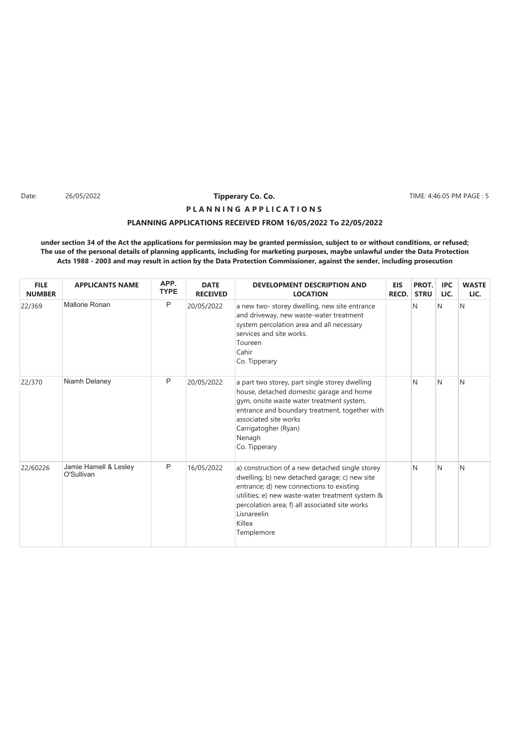Date: 26/05/2022 **Tipperary Co. Co. The Co. 2008 TIME: 4:46:05 PM PAGE : 5** 

# **P L A N N I N G A P P L I C A T I O N S**

### **PLANNING APPLICATIONS RECEIVED FROM 16/05/2022 To 22/05/2022**

| <b>FILE</b><br><b>NUMBER</b> | <b>APPLICANTS NAME</b>              | APP.<br><b>TYPE</b> | <b>DATE</b><br><b>RECEIVED</b> | <b>DEVELOPMENT DESCRIPTION AND</b><br><b>LOCATION</b>                                                                                                                                                                                                                                     | <b>EIS</b><br>RECD. | PROT.<br><b>STRU</b> | <b>IPC</b><br>LIC. | <b>WASTE</b><br>LIC. |
|------------------------------|-------------------------------------|---------------------|--------------------------------|-------------------------------------------------------------------------------------------------------------------------------------------------------------------------------------------------------------------------------------------------------------------------------------------|---------------------|----------------------|--------------------|----------------------|
| 22/369                       | Mallorie Ronan                      | P                   | 20/05/2022                     | a new two-storey dwelling, new site entrance<br>and driveway, new waste-water treatment<br>system percolation area and all necessary<br>services and site works.<br>Toureen<br>Cahir<br>Co. Tipperary                                                                                     |                     | N                    | N                  | N                    |
| 22/370                       | Niamh Delaney                       | P                   | 20/05/2022                     | a part two storey, part single storey dwelling<br>house, detached domestic garage and home<br>gym, onsite waste water treatment system,<br>entrance and boundary treatment, together with<br>associated site works<br>Carrigatogher (Ryan)<br>Nenagh<br>Co. Tipperary                     |                     | N                    | N                  | N                    |
| 22/60226                     | Jamie Hamell & Lesley<br>O'Sullivan | P                   | 16/05/2022                     | a) construction of a new detached single storey<br>dwelling; b) new detached garage; c) new site<br>entrance; d) new connections to existing<br>utilities; e) new waste-water treatment system &<br>percolation area; f) all associated site works<br>Lisnareelin<br>Killea<br>Templemore |                     | N                    | N                  | N                    |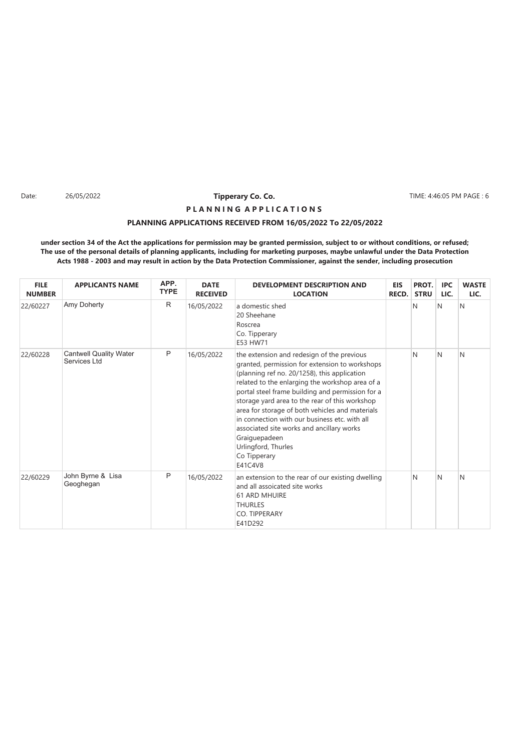Date: 26/05/2022 **Tipperary Co. Co. The Co. 1999 TIME: 4:46:05 PM PAGE : 6** 

# **P L A N N I N G A P P L I C A T I O N S**

### **PLANNING APPLICATIONS RECEIVED FROM 16/05/2022 To 22/05/2022**

| <b>FILE</b><br><b>NUMBER</b> | <b>APPLICANTS NAME</b>                        | APP.<br><b>TYPE</b> | <b>DATE</b><br><b>RECEIVED</b> | <b>DEVELOPMENT DESCRIPTION AND</b><br><b>LOCATION</b>                                                                                                                                                                                                                                                                                                                                                                                                                                                                     | <b>EIS</b><br>RECD. | PROT.<br><b>STRU</b> | <b>IPC</b><br>LIC. | <b>WASTE</b><br>LIC. |
|------------------------------|-----------------------------------------------|---------------------|--------------------------------|---------------------------------------------------------------------------------------------------------------------------------------------------------------------------------------------------------------------------------------------------------------------------------------------------------------------------------------------------------------------------------------------------------------------------------------------------------------------------------------------------------------------------|---------------------|----------------------|--------------------|----------------------|
| 22/60227                     | Amy Doherty                                   | R                   | 16/05/2022                     | a domestic shed<br>20 Sheehane<br>Roscrea<br>Co. Tipperary<br>E53 HW71                                                                                                                                                                                                                                                                                                                                                                                                                                                    |                     | N                    | N                  | N                    |
| 22/60228                     | <b>Cantwell Quality Water</b><br>Services Ltd | P                   | 16/05/2022                     | the extension and redesign of the previous<br>granted, permission for extension to workshops<br>(planning ref no. 20/1258), this application<br>related to the enlarging the workshop area of a<br>portal steel frame building and permission for a<br>storage yard area to the rear of this workshop<br>area for storage of both vehicles and materials<br>in connection with our business etc. with all<br>associated site works and ancillary works<br>Graiguepadeen<br>Urlingford, Thurles<br>Co Tipperary<br>E41C4V8 |                     | N                    | N                  | N                    |
| 22/60229                     | John Byrne & Lisa<br>Geoghegan                | P                   | 16/05/2022                     | an extension to the rear of our existing dwelling<br>and all assoicated site works<br><b>61 ARD MHUIRE</b><br><b>THURLES</b><br>CO. TIPPERARY<br>E41D292                                                                                                                                                                                                                                                                                                                                                                  |                     | N                    | N                  | N                    |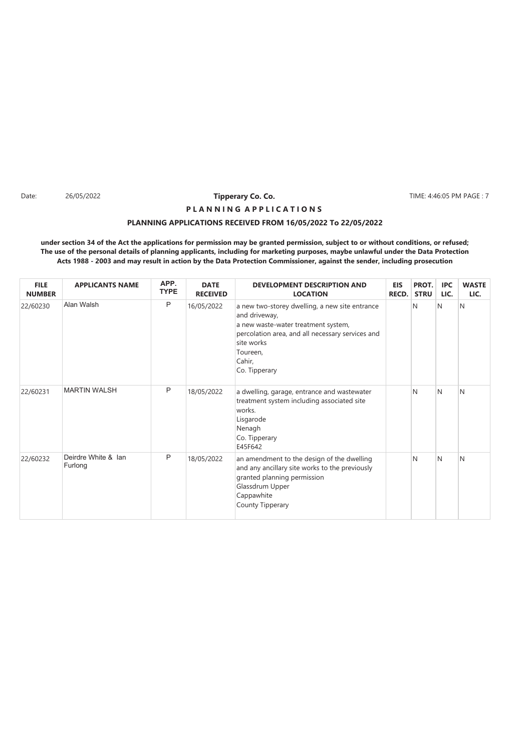Date: 26/05/2022 **Tipperary Co. Co. The Co. 2008 TIME: 4:46:05 PM PAGE : 7** 

# **PLANNING APPLICATIONS RECEIVED FROM 16/05/2022 To 22/05/2022 P L A N N I N G A P P L I C A T I O N S**

| <b>FILE</b><br><b>NUMBER</b> | <b>APPLICANTS NAME</b>         | APP.<br><b>TYPE</b> | <b>DATE</b><br><b>RECEIVED</b> | <b>DEVELOPMENT DESCRIPTION AND</b><br><b>LOCATION</b>                                                                                                                                                           | <b>EIS</b><br><b>RECD.</b> | PROT.<br><b>STRU</b> | <b>IPC</b><br>LIC. | <b>WASTE</b><br>LIC. |
|------------------------------|--------------------------------|---------------------|--------------------------------|-----------------------------------------------------------------------------------------------------------------------------------------------------------------------------------------------------------------|----------------------------|----------------------|--------------------|----------------------|
| 22/60230                     | Alan Walsh                     | P                   | 16/05/2022                     | a new two-storey dwelling, a new site entrance<br>and driveway,<br>a new waste-water treatment system,<br>percolation area, and all necessary services and<br>site works<br>Toureen,<br>Cahir,<br>Co. Tipperary |                            | N                    | N                  | N                    |
| 22/60231                     | <b>MARTIN WALSH</b>            | P                   | 18/05/2022                     | a dwelling, garage, entrance and wastewater<br>treatment system including associated site<br>works.<br>Lisgarode<br>Nenagh<br>Co. Tipperary<br>E45F642                                                          |                            | <sup>N</sup>         | N                  | N                    |
| 22/60232                     | Deirdre White & Ian<br>Furlong | P                   | 18/05/2022                     | an amendment to the design of the dwelling<br>and any ancillary site works to the previously<br>granted planning permission<br>Glassdrum Upper<br>Cappawhite<br>County Tipperary                                |                            | N                    | N                  | N                    |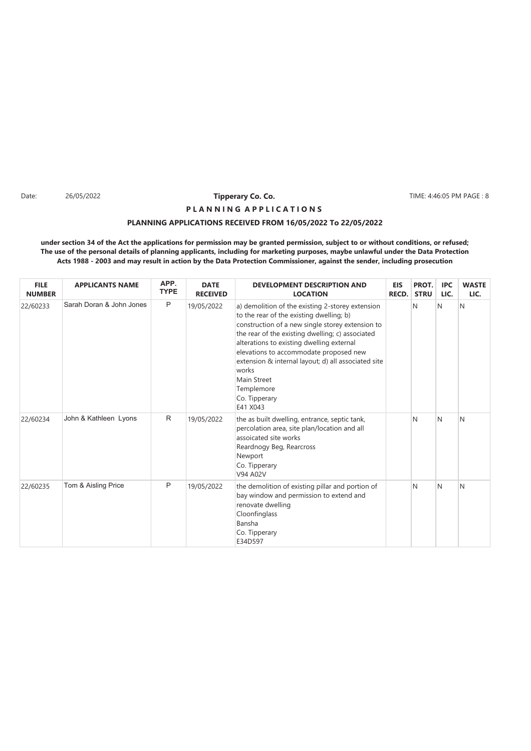Date: 26/05/2022 **Tipperary Co. Co. The Co. 2008 TIME: 4:46:05 PM PAGE : 8** 

# **PLANNING APPLICATIONS RECEIVED FROM 16/05/2022 To 22/05/2022 P L A N N I N G A P P L I C A T I O N S**

| <b>FILE</b><br><b>NUMBER</b> | <b>APPLICANTS NAME</b>   | APP.<br><b>TYPE</b> | <b>DATE</b><br><b>RECEIVED</b> | <b>DEVELOPMENT DESCRIPTION AND</b><br><b>LOCATION</b>                                                                                                                                                                                                                                                                                                                                                                 | <b>EIS</b><br>RECD. | PROT.<br><b>STRU</b> | <b>IPC</b><br>LIC. | <b>WASTE</b><br>LIC. |
|------------------------------|--------------------------|---------------------|--------------------------------|-----------------------------------------------------------------------------------------------------------------------------------------------------------------------------------------------------------------------------------------------------------------------------------------------------------------------------------------------------------------------------------------------------------------------|---------------------|----------------------|--------------------|----------------------|
| 22/60233                     | Sarah Doran & John Jones | P                   | 19/05/2022                     | a) demolition of the existing 2-storey extension<br>to the rear of the existing dwelling; b)<br>construction of a new single storey extension to<br>the rear of the existing dwelling; c) associated<br>alterations to existing dwelling external<br>elevations to accommodate proposed new<br>extension & internal layout; d) all associated site<br>works<br>Main Street<br>Templemore<br>Co. Tipperary<br>E41 X043 |                     | N                    | N                  | N                    |
| 22/60234                     | John & Kathleen Lyons    | R                   | 19/05/2022                     | the as built dwelling, entrance, septic tank,<br>percolation area, site plan/location and all<br>assoicated site works<br>Reardnogy Beg, Rearcross<br>Newport<br>Co. Tipperary<br>V94 A02V                                                                                                                                                                                                                            |                     | N                    | N                  | N                    |
| 22/60235                     | Tom & Aisling Price      | P                   | 19/05/2022                     | the demolition of existing pillar and portion of<br>bay window and permission to extend and<br>renovate dwelling<br>Cloonfinglass<br>Bansha<br>Co. Tipperary<br>E34D597                                                                                                                                                                                                                                               |                     | N                    | N                  | N                    |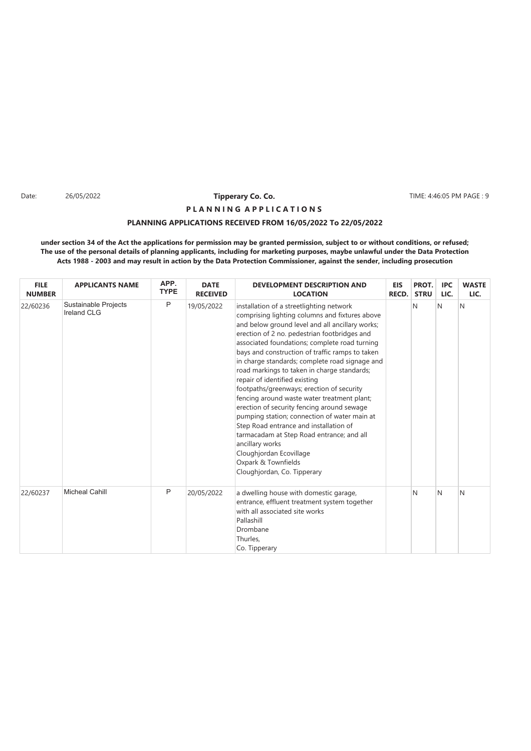Date: 26/05/2022 **Tipperary Co. Co. The Co. 2008 TIME: 4:46:05 PM PAGE : 9** 

# **PLANNING APPLICATIONS RECEIVED FROM 16/05/2022 To 22/05/2022 P L A N N I N G A P P L I C A T I O N S**

| <b>FILE</b><br><b>NUMBER</b> | <b>APPLICANTS NAME</b>                     | APP.<br><b>TYPE</b> | <b>DATE</b><br><b>RECEIVED</b> | <b>DEVELOPMENT DESCRIPTION AND</b><br><b>LOCATION</b>                                                                                                                                                                                                                                                                                                                                                                                                                                                                                                                                                                                                                                                                                                                                                                    | <b>EIS</b><br>RECD. | PROT.<br><b>STRU</b> | <b>IPC</b><br>LIC. | <b>WASTE</b><br>LIC. |
|------------------------------|--------------------------------------------|---------------------|--------------------------------|--------------------------------------------------------------------------------------------------------------------------------------------------------------------------------------------------------------------------------------------------------------------------------------------------------------------------------------------------------------------------------------------------------------------------------------------------------------------------------------------------------------------------------------------------------------------------------------------------------------------------------------------------------------------------------------------------------------------------------------------------------------------------------------------------------------------------|---------------------|----------------------|--------------------|----------------------|
| 22/60236                     | Sustainable Projects<br><b>Ireland CLG</b> | P                   | 19/05/2022                     | installation of a streetlighting network<br>comprising lighting columns and fixtures above<br>and below ground level and all ancillary works;<br>erection of 2 no. pedestrian footbridges and<br>associated foundations; complete road turning<br>bays and construction of traffic ramps to taken<br>in charge standards; complete road signage and<br>road markings to taken in charge standards;<br>repair of identified existing<br>footpaths/greenways; erection of security<br>fencing around waste water treatment plant;<br>erection of security fencing around sewage<br>pumping station; connection of water main at<br>Step Road entrance and installation of<br>tarmacadam at Step Road entrance; and all<br>ancillary works<br>Cloughjordan Ecovillage<br>Oxpark & Townfields<br>Cloughjordan, Co. Tipperary |                     | N                    | N                  | N                    |
| 22/60237                     | <b>Micheal Cahill</b>                      | P                   | 20/05/2022                     | a dwelling house with domestic garage,<br>entrance, effluent treatment system together<br>with all associated site works<br>Pallashill<br>Drombane<br>Thurles,<br>Co. Tipperary                                                                                                                                                                                                                                                                                                                                                                                                                                                                                                                                                                                                                                          |                     | N                    | N                  | N                    |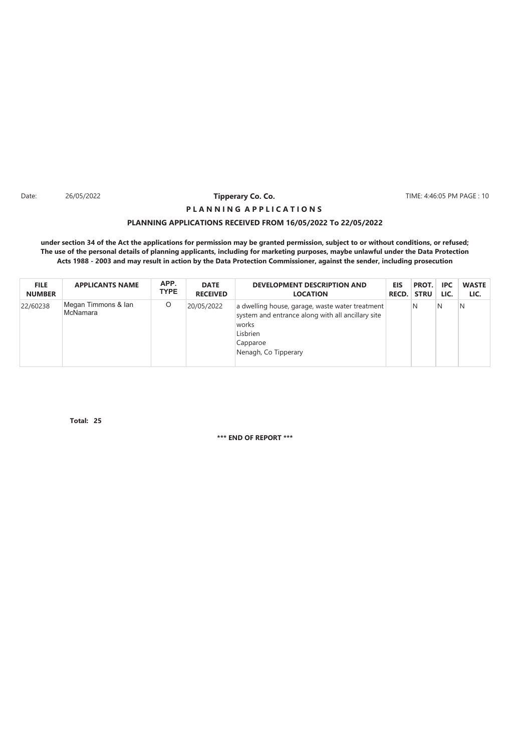Date: 26/05/2022 **Tipperary Co. Co. The Co. 10 TIME: 4:46:05 PM PAGE : 10** 

# **PLANNING APPLICATIONS RECEIVED FROM 16/05/2022 To 22/05/2022 P L A N N I N G A P P L I C A T I O N S**

**under section 34 of the Act the applications for permission may be granted permission, subject to or without conditions, or refused; The use of the personal details of planning applicants, including for marketing purposes, maybe unlawful under the Data Protection Acts 1988 - 2003 and may result in action by the Data Protection Commissioner, against the sender, including prosecution**

| <b>FILE</b>   | <b>APPLICANTS NAME</b>          | APP.        | <b>DATE</b>     | <b>DEVELOPMENT DESCRIPTION AND</b>                                                                                                                            | <b>EIS</b> | PROT.       | <b>IPC</b> | <b>WASTE</b> |
|---------------|---------------------------------|-------------|-----------------|---------------------------------------------------------------------------------------------------------------------------------------------------------------|------------|-------------|------------|--------------|
| <b>NUMBER</b> |                                 | <b>TYPE</b> | <b>RECEIVED</b> | <b>LOCATION</b>                                                                                                                                               | RECD.      | <b>STRU</b> | LIC.       | LIC.         |
| 22/60238      | Megan Timmons & Ian<br>McNamara | O           | 20/05/2022      | a dwelling house, garage, waste water treatment<br>system and entrance along with all ancillary site<br>works<br>Lisbrien<br>Capparoe<br>Nenagh, Co Tipperary |            | N           | N          | N            |

**25 Total:**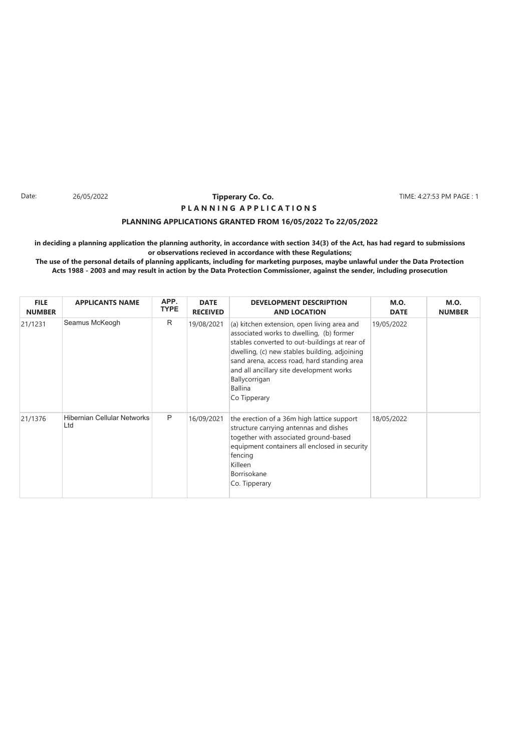#### Date: 26/05/2022 **Tipperary Co. Co. The Co. 1999** TIME: 4:27:53 PM PAGE : 1 **Tipperary Co. Co. P L A N N I N G A P P L I C A T I O N S**

#### **PLANNING APPLICATIONS GRANTED FROM 16/05/2022 To 22/05/2022**

**in deciding a planning application the planning authority, in accordance with section 34(3) of the Act, has had regard to submissions or observations recieved in accordance with these Regulations;**

| <b>FILE</b><br><b>NUMBER</b> | <b>APPLICANTS NAME</b>                    | APP.<br><b>TYPE</b> | <b>DATE</b><br><b>RECEIVED</b> | <b>DEVELOPMENT DESCRIPTION</b><br><b>AND LOCATION</b>                                                                                                                                                                                                                                                                                   | <b>M.O.</b><br><b>DATE</b> | <b>M.O.</b><br><b>NUMBER</b> |
|------------------------------|-------------------------------------------|---------------------|--------------------------------|-----------------------------------------------------------------------------------------------------------------------------------------------------------------------------------------------------------------------------------------------------------------------------------------------------------------------------------------|----------------------------|------------------------------|
| 21/1231                      | Seamus McKeogh                            | R                   | 19/08/2021                     | (a) kitchen extension, open living area and<br>associated works to dwelling, (b) former<br>stables converted to out-buildings at rear of<br>dwelling, (c) new stables building, adjoining<br>sand arena, access road, hard standing area<br>and all ancillary site development works<br>Ballycorrigan<br><b>Ballina</b><br>Co Tipperary | 19/05/2022                 |                              |
| 21/1376                      | <b>Hibernian Cellular Networks</b><br>Ltd | P                   | 16/09/2021                     | the erection of a 36m high lattice support<br>structure carrying antennas and dishes<br>together with associated ground-based<br>equipment containers all enclosed in security<br>fencing<br>Killeen<br>Borrisokane<br>Co. Tipperary                                                                                                    | 18/05/2022                 |                              |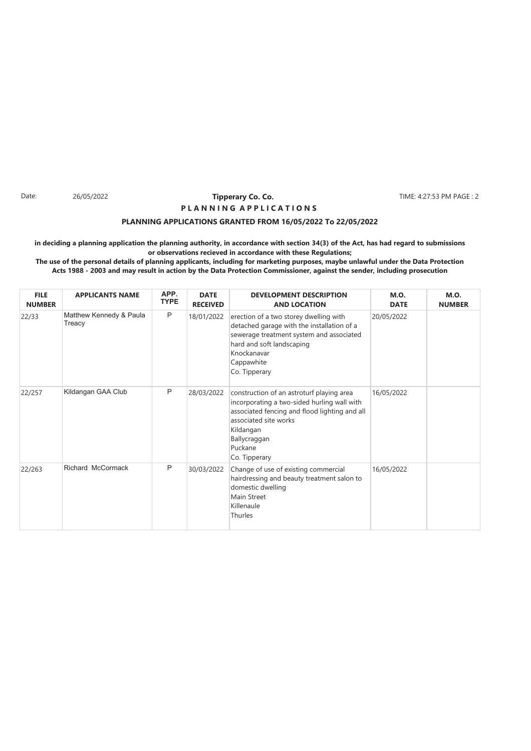#### Date: 26/05/2022 **Tipperary Co. Co. 2018** TIME: 4:27:53 PM PAGE : 2 **Tipperary Co. Co. P L A N N I N G A P P L I C A T I O N S**

#### **PLANNING APPLICATIONS GRANTED FROM 16/05/2022 To 22/05/2022**

**in deciding a planning application the planning authority, in accordance with section 34(3) of the Act, has had regard to submissions or observations recieved in accordance with these Regulations;**

| <b>FILE</b><br><b>NUMBER</b> | <b>APPLICANTS NAME</b>            | APP.<br><b>TYPE</b> | <b>DATE</b><br><b>RECEIVED</b> | <b>DEVELOPMENT DESCRIPTION</b><br><b>AND LOCATION</b>                                                                                                                                                                       | <b>M.O.</b><br><b>DATE</b> | <b>M.O.</b><br><b>NUMBER</b> |
|------------------------------|-----------------------------------|---------------------|--------------------------------|-----------------------------------------------------------------------------------------------------------------------------------------------------------------------------------------------------------------------------|----------------------------|------------------------------|
| 22/33                        | Matthew Kennedy & Paula<br>Treacy | P                   | 18/01/2022                     | erection of a two storey dwelling with<br>detached garage with the installation of a<br>sewerage treatment system and associated<br>hard and soft landscaping<br>Knockanavar<br>Cappawhite<br>Co. Tipperary                 | 20/05/2022                 |                              |
| 22/257                       | Kildangan GAA Club                | P                   | 28/03/2022                     | construction of an astroturf playing area<br>incorporating a two-sided hurling wall with<br>associated fencing and flood lighting and all<br>associated site works<br>Kildangan<br>Ballycraggan<br>Puckane<br>Co. Tipperary | 16/05/2022                 |                              |
| 22/263                       | Richard McCormack                 | P                   | 30/03/2022                     | Change of use of existing commercial<br>hairdressing and beauty treatment salon to<br>domestic dwelling<br>Main Street<br>Killenaule<br>Thurles                                                                             | 16/05/2022                 |                              |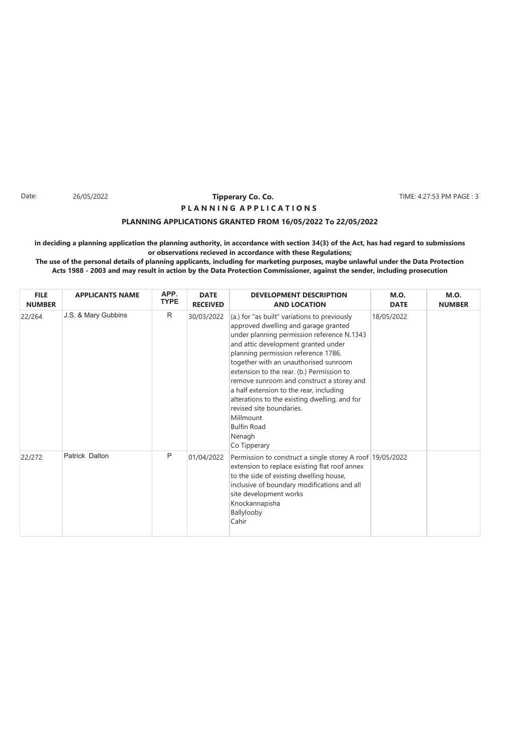#### Date: 26/05/2022 **Tipperary Co. Co. The Co. 1999 TIME: 4:27:53 PM PAGE : 3 Tipperary Co. Co. P L A N N I N G A P P L I C A T I O N S**

#### **PLANNING APPLICATIONS GRANTED FROM 16/05/2022 To 22/05/2022**

**in deciding a planning application the planning authority, in accordance with section 34(3) of the Act, has had regard to submissions or observations recieved in accordance with these Regulations;**

| <b>FILE</b><br><b>NUMBER</b> | <b>APPLICANTS NAME</b> | APP.<br><b>TYPE</b> | <b>DATE</b><br><b>RECEIVED</b> | <b>DEVELOPMENT DESCRIPTION</b><br><b>AND LOCATION</b>                                                                                                                                                                                                                                                                                                                                                                                                                                                                                    | <b>M.O.</b><br><b>DATE</b> | <b>M.O.</b><br><b>NUMBER</b> |
|------------------------------|------------------------|---------------------|--------------------------------|------------------------------------------------------------------------------------------------------------------------------------------------------------------------------------------------------------------------------------------------------------------------------------------------------------------------------------------------------------------------------------------------------------------------------------------------------------------------------------------------------------------------------------------|----------------------------|------------------------------|
| 22/264                       | J.S. & Mary Gubbins    | R                   | 30/03/2022                     | (a.) for "as built" variations to previously<br>approved dwelling and garage granted<br>under planning permission reference N.1343<br>and attic development granted under<br>planning permission reference 1786,<br>together with an unauthorised sunroom<br>extension to the rear. (b.) Permission to<br>remove sunroom and construct a storey and<br>a half extension to the rear, including<br>alterations to the existing dwelling, and for<br>revised site boundaries.<br>Millmount<br><b>Bulfin Road</b><br>Nenagh<br>Co Tipperary | 18/05/2022                 |                              |
| 22/272                       | Patrick Dalton         | P                   | 01/04/2022                     | Permission to construct a single storey A roof 19/05/2022<br>extension to replace existing flat roof annex<br>to the side of existing dwelling house,<br>inclusive of boundary modifications and all<br>site development works<br>Knockannapisha<br>Ballylooby<br>Cahir                                                                                                                                                                                                                                                                  |                            |                              |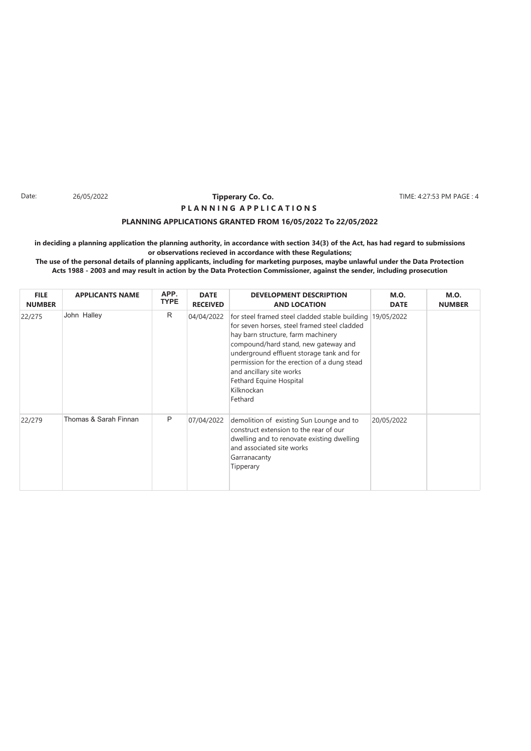#### Date: 26/05/2022 **Tipperary Co. Co. 2018** TIME: 4:27:53 PM PAGE : 4 **Tipperary Co. Co. P L A N N I N G A P P L I C A T I O N S**

#### **PLANNING APPLICATIONS GRANTED FROM 16/05/2022 To 22/05/2022**

**in deciding a planning application the planning authority, in accordance with section 34(3) of the Act, has had regard to submissions or observations recieved in accordance with these Regulations;**

| <b>FILE</b><br><b>NUMBER</b> | <b>APPLICANTS NAME</b> | APP.<br><b>TYPE</b> | <b>DATE</b><br><b>RECEIVED</b> | <b>DEVELOPMENT DESCRIPTION</b><br><b>AND LOCATION</b>                                                                                                                                                                                                                                                                                                               | <b>M.O.</b><br><b>DATE</b> | <b>M.O.</b><br><b>NUMBER</b> |
|------------------------------|------------------------|---------------------|--------------------------------|---------------------------------------------------------------------------------------------------------------------------------------------------------------------------------------------------------------------------------------------------------------------------------------------------------------------------------------------------------------------|----------------------------|------------------------------|
| 22/275                       | John Halley            | R                   | 04/04/2022                     | for steel framed steel cladded stable building 19/05/2022<br>for seven horses, steel framed steel cladded<br>hay barn structure, farm machinery<br>compound/hard stand, new gateway and<br>underground effluent storage tank and for<br>permission for the erection of a dung stead<br>and ancillary site works<br>Fethard Equine Hospital<br>Kilknockan<br>Fethard |                            |                              |
| 22/279                       | Thomas & Sarah Finnan  | P                   | 07/04/2022                     | demolition of existing Sun Lounge and to<br>construct extension to the rear of our<br>dwelling and to renovate existing dwelling<br>and associated site works<br>Garranacanty<br>Tipperary                                                                                                                                                                          | 20/05/2022                 |                              |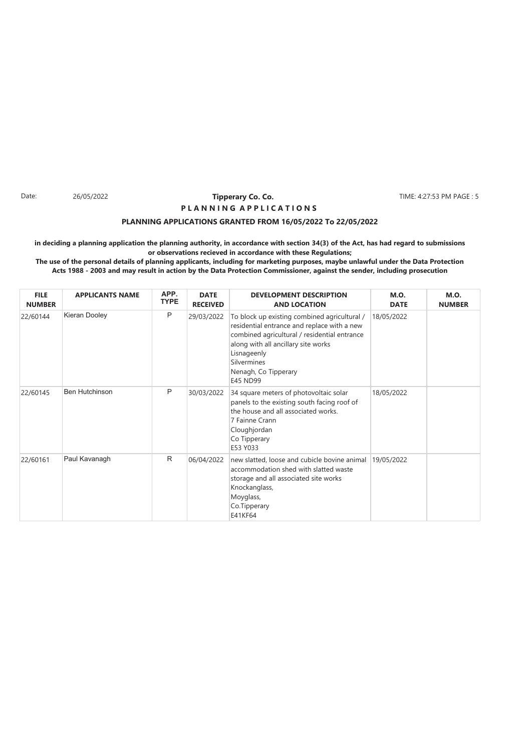#### Date: 26/05/2022 **Tipperary Co. Co. The Co. 1999 TIME: 4:27:53 PM PAGE : 5 Tipperary Co. Co. P L A N N I N G A P P L I C A T I O N S**

#### **PLANNING APPLICATIONS GRANTED FROM 16/05/2022 To 22/05/2022**

**in deciding a planning application the planning authority, in accordance with section 34(3) of the Act, has had regard to submissions or observations recieved in accordance with these Regulations;**

| <b>FILE</b><br><b>NUMBER</b> | <b>APPLICANTS NAME</b> | APP.<br><b>TYPE</b> | <b>DATE</b><br><b>RECEIVED</b> | <b>DEVELOPMENT DESCRIPTION</b><br><b>AND LOCATION</b>                                                                                                                                                                                                | <b>M.O.</b><br><b>DATE</b> | <b>M.O.</b><br><b>NUMBER</b> |
|------------------------------|------------------------|---------------------|--------------------------------|------------------------------------------------------------------------------------------------------------------------------------------------------------------------------------------------------------------------------------------------------|----------------------------|------------------------------|
| 22/60144                     | Kieran Dooley          | P                   | 29/03/2022                     | To block up existing combined agricultural /<br>residential entrance and replace with a new<br>combined agricultural / residential entrance<br>along with all ancillary site works<br>Lisnageenly<br>Silvermines<br>Nenagh, Co Tipperary<br>E45 ND99 | 18/05/2022                 |                              |
| 22/60145                     | <b>Ben Hutchinson</b>  | P                   | 30/03/2022                     | 34 square meters of photovoltaic solar<br>panels to the existing south facing roof of<br>the house and all associated works.<br>7 Fainne Crann<br>Cloughjordan<br>Co Tipperary<br>E53 Y033                                                           | 18/05/2022                 |                              |
| 22/60161                     | Paul Kavanagh          | $\mathsf{R}$        | 06/04/2022                     | new slatted, loose and cubicle bovine animal<br>accommodation shed with slatted waste<br>storage and all associated site works<br>Knockanglass,<br>Moyglass,<br>Co.Tipperary<br>E41KF64                                                              | 19/05/2022                 |                              |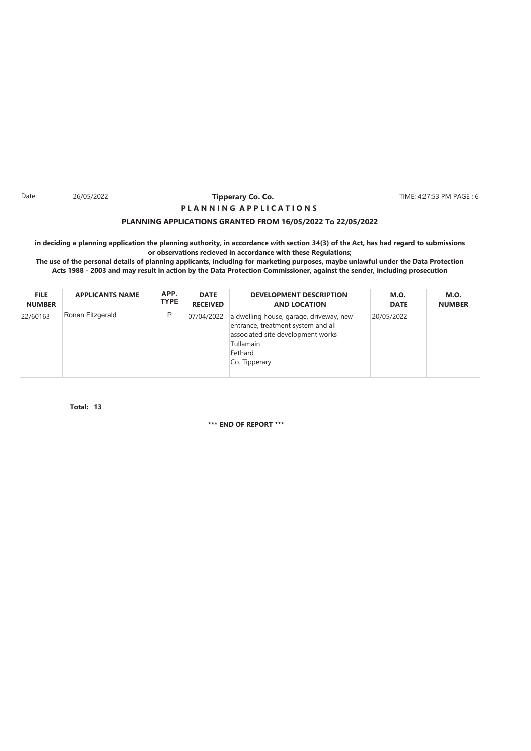#### Date: 26/05/2022 **Tipperary Co. Co. 2018** TIME: 4:27:53 PM PAGE : 6 **Tipperary Co. Co. P L A N N I N G A P P L I C A T I O N S**

#### **PLANNING APPLICATIONS GRANTED FROM 16/05/2022 To 22/05/2022**

**in deciding a planning application the planning authority, in accordance with section 34(3) of the Act, has had regard to submissions or observations recieved in accordance with these Regulations;**

**The use of the personal details of planning applicants, including for marketing purposes, maybe unlawful under the Data Protection Acts 1988 - 2003 and may result in action by the Data Protection Commissioner, against the sender, including prosecution**

| <b>FILE</b>   | <b>APPLICANTS NAME</b> | APP.        | <b>DATE</b>     | <b>DEVELOPMENT DESCRIPTION</b>                                                                                                                              | <b>M.O.</b> | <b>M.O.</b>   |
|---------------|------------------------|-------------|-----------------|-------------------------------------------------------------------------------------------------------------------------------------------------------------|-------------|---------------|
| <b>NUMBER</b> |                        | <b>TYPE</b> | <b>RECEIVED</b> | <b>AND LOCATION</b>                                                                                                                                         | <b>DATE</b> | <b>NUMBER</b> |
| 22/60163      | Ronan Fitzgerald       | P           | 07/04/2022      | a dwelling house, garage, driveway, new<br>entrance, treatment system and all<br>associated site development works<br>Tullamain<br>Fethard<br>Co. Tipperary | 20/05/2022  |               |

**13 Total:**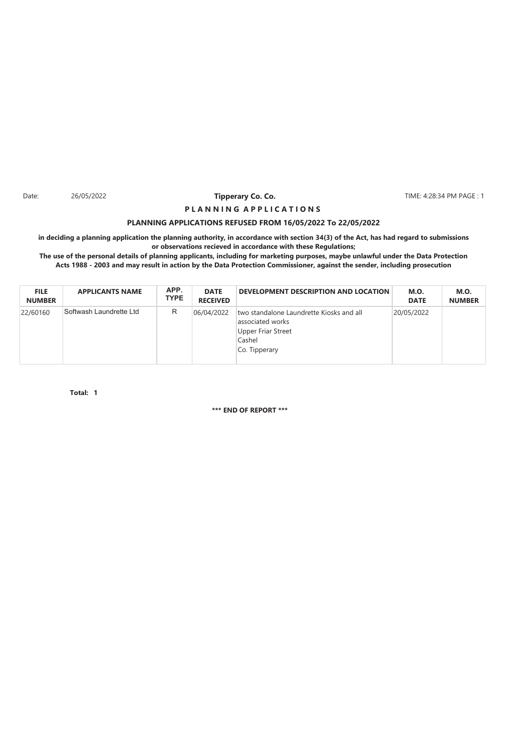Date: 26/05/2022 **Tipperary Co. Co. The Co. The Co. 2018** TIME: 4:28:34 PM PAGE : 1

## **PLANNING APPLICATIONS REFUSED FROM 16/05/2022 To 22/05/2022 P L A N N I N G A P P L I C A T I O N S**

**in deciding a planning application the planning authority, in accordance with section 34(3) of the Act, has had regard to submissions or observations recieved in accordance with these Regulations;**

**The use of the personal details of planning applicants, including for marketing purposes, maybe unlawful under the Data Protection Acts 1988 - 2003 and may result in action by the Data Protection Commissioner, against the sender, including prosecution**

| <b>FILE</b><br><b>NUMBER</b> | <b>APPLICANTS NAME</b>  | APP.<br><b>TYPE</b> | <b>DATE</b><br><b>RECEIVED</b> | DEVELOPMENT DESCRIPTION AND LOCATION                                                                                 | <b>M.O.</b><br><b>DATE</b> | <b>M.O.</b><br><b>NUMBER</b> |
|------------------------------|-------------------------|---------------------|--------------------------------|----------------------------------------------------------------------------------------------------------------------|----------------------------|------------------------------|
| 22/60160                     | Softwash Laundrette Ltd | R                   | 06/04/2022                     | two standalone Laundrette Kiosks and all<br>associated works<br><b>Upper Friar Street</b><br>Cashel<br>Co. Tipperary | 20/05/2022                 |                              |

**1 Total:**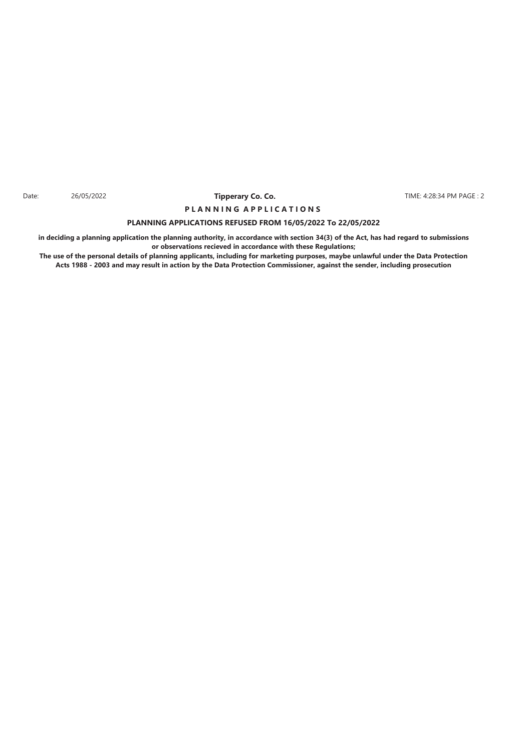Date: 26/05/2022 **Tipperary Co. Co. The Co. Formulate: 4:28:34 PM PAGE : 2** 

## **PLANNING APPLICATIONS REFUSED FROM 16/05/2022 To 22/05/2022 P L A N N I N G A P P L I C A T I O N S**

**in deciding a planning application the planning authority, in accordance with section 34(3) of the Act, has had regard to submissions or observations recieved in accordance with these Regulations;**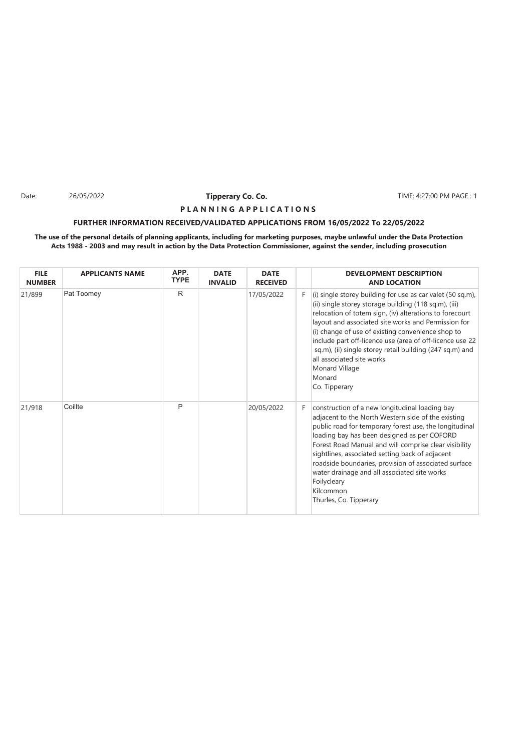Date: 26/05/2022 **Tipperary Co. Co. The Co. The Co. TIME: 4:27:00 PM PAGE : 1** 

#### **P L A N N I N G A P P L I C A T I O N S**

#### **FURTHER INFORMATION RECEIVED/VALIDATED APPLICATIONS FROM 16/05/2022 To 22/05/2022**

| <b>FILE</b><br><b>NUMBER</b> | <b>APPLICANTS NAME</b> | APP.<br><b>TYPE</b> | <b>DATE</b><br><b>INVALID</b> | <b>DATE</b><br><b>RECEIVED</b> |    | <b>DEVELOPMENT DESCRIPTION</b><br><b>AND LOCATION</b>                                                                                                                                                                                                                                                                                                                                                                                                                                        |
|------------------------------|------------------------|---------------------|-------------------------------|--------------------------------|----|----------------------------------------------------------------------------------------------------------------------------------------------------------------------------------------------------------------------------------------------------------------------------------------------------------------------------------------------------------------------------------------------------------------------------------------------------------------------------------------------|
| 21/899                       | Pat Toomey             | R                   |                               | 17/05/2022                     | F. | (i) single storey building for use as car valet (50 sq.m),<br>(ii) single storey storage building (118 sq.m), (iii)<br>relocation of totem sign, (iv) alterations to forecourt<br>layout and associated site works and Permission for<br>(i) change of use of existing convenience shop to<br>include part off-licence use (area of off-licence use 22<br>sq.m), (ii) single storey retail building (247 sq.m) and<br>all associated site works<br>Monard Village<br>Monard<br>Co. Tipperary |
| 21/918                       | Coillte                | P                   |                               | 20/05/2022                     | F. | construction of a new longitudinal loading bay<br>adjacent to the North Western side of the existing<br>public road for temporary forest use, the longitudinal<br>loading bay has been designed as per COFORD<br>Forest Road Manual and will comprise clear visibility<br>sightlines, associated setting back of adjacent<br>roadside boundaries, provision of associated surface<br>water drainage and all associated site works<br>Foilycleary<br>Kilcommon<br>Thurles, Co. Tipperary      |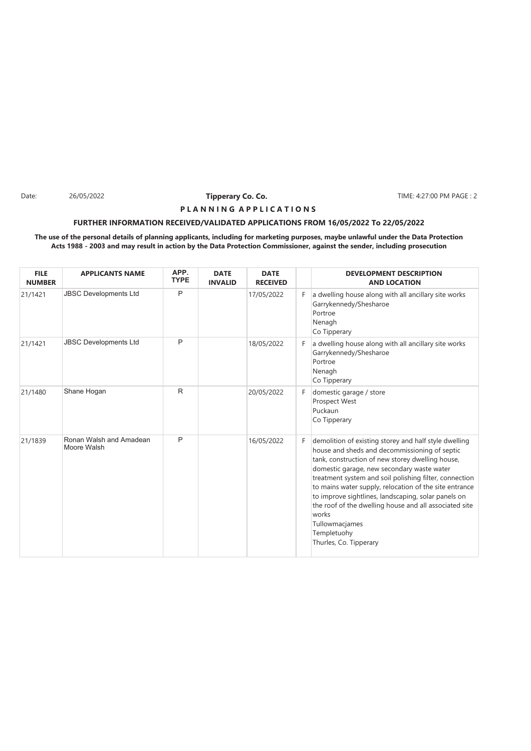Date: 26/05/2022 **Tipperary Co. Co. The Co. The Co. TIME: 4:27:00 PM PAGE : 2** 

### **P L A N N I N G A P P L I C A T I O N S**

#### **FURTHER INFORMATION RECEIVED/VALIDATED APPLICATIONS FROM 16/05/2022 To 22/05/2022**

| <b>FILE</b><br><b>NUMBER</b> | <b>APPLICANTS NAME</b>                 | APP.<br><b>TYPE</b> | <b>DATE</b><br><b>INVALID</b> | <b>DATE</b><br><b>RECEIVED</b> |    | <b>DEVELOPMENT DESCRIPTION</b><br><b>AND LOCATION</b>                                                                                                                                                                                                                                                                                                                                                                                                                                                             |
|------------------------------|----------------------------------------|---------------------|-------------------------------|--------------------------------|----|-------------------------------------------------------------------------------------------------------------------------------------------------------------------------------------------------------------------------------------------------------------------------------------------------------------------------------------------------------------------------------------------------------------------------------------------------------------------------------------------------------------------|
| 21/1421                      | <b>JBSC Developments Ltd</b>           | P                   |                               | 17/05/2022                     | F  | a dwelling house along with all ancillary site works<br>Garrykennedy/Shesharoe<br>Portroe<br>Nenagh<br>Co Tipperary                                                                                                                                                                                                                                                                                                                                                                                               |
| 21/1421                      | <b>JBSC Developments Ltd</b>           | P                   |                               | 18/05/2022                     | F. | a dwelling house along with all ancillary site works<br>Garrykennedy/Shesharoe<br>Portroe<br>Nenagh<br>Co Tipperary                                                                                                                                                                                                                                                                                                                                                                                               |
| 21/1480                      | Shane Hogan                            | R                   |                               | 20/05/2022                     | F. | domestic garage / store<br>Prospect West<br>Puckaun<br>Co Tipperary                                                                                                                                                                                                                                                                                                                                                                                                                                               |
| 21/1839                      | Ronan Walsh and Amadean<br>Moore Walsh | P                   |                               | 16/05/2022                     | F. | demolition of existing storey and half style dwelling<br>house and sheds and decommissioning of septic<br>tank, construction of new storey dwelling house,<br>domestic garage, new secondary waste water<br>treatment system and soil polishing filter, connection<br>to mains water supply, relocation of the site entrance<br>to improve sightlines, landscaping, solar panels on<br>the roof of the dwelling house and all associated site<br>works<br>Tullowmacjames<br>Templetuohy<br>Thurles, Co. Tipperary |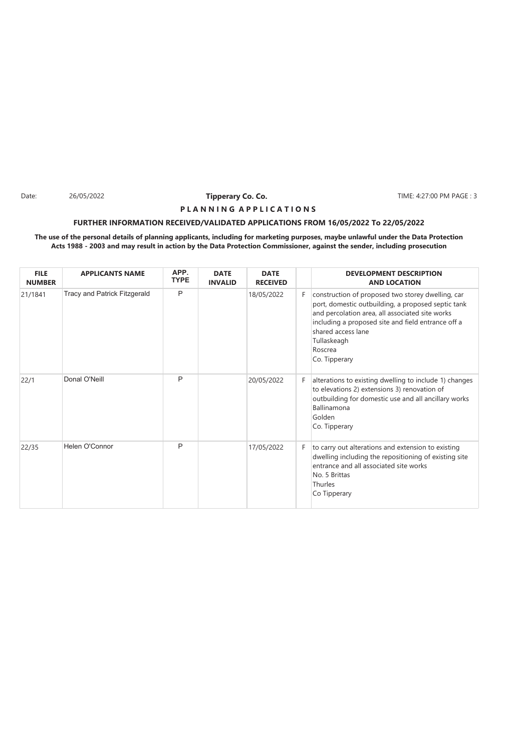Date: 26/05/2022 **Tipperary Co. Co. The Co. The Co. TIME: 4:27:00 PM PAGE : 3** 

## **P L A N N I N G A P P L I C A T I O N S**

### **FURTHER INFORMATION RECEIVED/VALIDATED APPLICATIONS FROM 16/05/2022 To 22/05/2022**

| <b>FILE</b><br><b>NUMBER</b> | <b>APPLICANTS NAME</b>              | APP.<br><b>TYPE</b> | <b>DATE</b><br><b>INVALID</b> | <b>DATE</b><br><b>RECEIVED</b> |    | <b>DEVELOPMENT DESCRIPTION</b><br><b>AND LOCATION</b>                                                                                                                                                                                                                             |
|------------------------------|-------------------------------------|---------------------|-------------------------------|--------------------------------|----|-----------------------------------------------------------------------------------------------------------------------------------------------------------------------------------------------------------------------------------------------------------------------------------|
| 21/1841                      | <b>Tracy and Patrick Fitzgerald</b> | P                   |                               | 18/05/2022                     | F. | construction of proposed two storey dwelling, car<br>port, domestic outbuilding, a proposed septic tank<br>and percolation area, all associated site works<br>including a proposed site and field entrance off a<br>shared access lane<br>Tullaskeagh<br>Roscrea<br>Co. Tipperary |
| 22/1                         | Donal O'Neill                       | P                   |                               | 20/05/2022                     | F. | alterations to existing dwelling to include 1) changes<br>to elevations 2) extensions 3) renovation of<br>outbuilding for domestic use and all ancillary works<br>Ballinamona<br>Golden<br>Co. Tipperary                                                                          |
| 22/35                        | Helen O'Connor                      | P                   |                               | 17/05/2022                     | F. | to carry out alterations and extension to existing<br>dwelling including the repositioning of existing site<br>entrance and all associated site works<br>No. 5 Brittas<br>Thurles<br>Co Tipperary                                                                                 |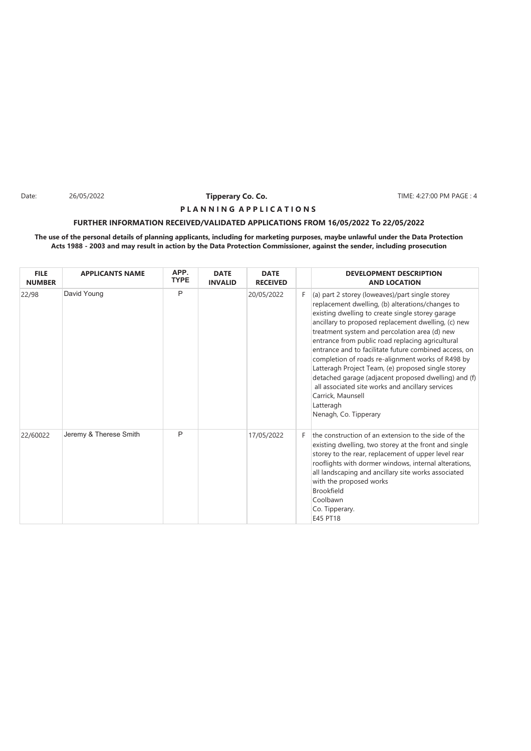Date: 26/05/2022 **Tipperary Co. Co. The Co. The Co. TIME: 4:27:00 PM PAGE : 4** 

#### **P L A N N I N G A P P L I C A T I O N S**

#### **FURTHER INFORMATION RECEIVED/VALIDATED APPLICATIONS FROM 16/05/2022 To 22/05/2022**

| <b>FILE</b><br><b>NUMBER</b> | <b>APPLICANTS NAME</b> | APP.<br><b>TYPE</b> | <b>DATE</b><br><b>INVALID</b> | <b>DATE</b><br><b>RECEIVED</b> |    | <b>DEVELOPMENT DESCRIPTION</b><br><b>AND LOCATION</b>                                                                                                                                                                                                                                                                                                                                                                                                                                                                                                                                                                                                          |
|------------------------------|------------------------|---------------------|-------------------------------|--------------------------------|----|----------------------------------------------------------------------------------------------------------------------------------------------------------------------------------------------------------------------------------------------------------------------------------------------------------------------------------------------------------------------------------------------------------------------------------------------------------------------------------------------------------------------------------------------------------------------------------------------------------------------------------------------------------------|
| 22/98                        | David Young            | P                   |                               | 20/05/2022                     | F. | (a) part 2 storey (loweaves)/part single storey<br>replacement dwelling, (b) alterations/changes to<br>existing dwelling to create single storey garage<br>ancillary to proposed replacement dwelling, (c) new<br>treatment system and percolation area (d) new<br>entrance from public road replacing agricultural<br>entrance and to facilitate future combined access, on<br>completion of roads re-alignment works of R498 by<br>Latteragh Project Team, (e) proposed single storey<br>detached garage (adjacent proposed dwelling) and (f)<br>all associated site works and ancillary services<br>Carrick, Maunsell<br>Latteragh<br>Nenagh, Co. Tipperary |
| 22/60022                     | Jeremy & Therese Smith | P                   |                               | 17/05/2022                     | F. | the construction of an extension to the side of the<br>existing dwelling, two storey at the front and single<br>storey to the rear, replacement of upper level rear<br>rooflights with dormer windows, internal alterations,<br>all landscaping and ancillary site works associated<br>with the proposed works<br><b>Brookfield</b><br>Coolbawn<br>Co. Tipperary.<br>E45 PT18                                                                                                                                                                                                                                                                                  |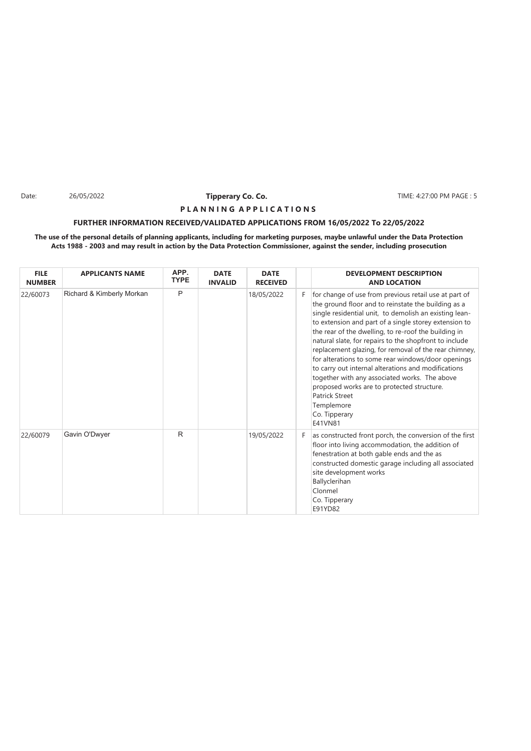Date: 26/05/2022 **Tipperary Co. Co. The Co. The Co. TIME: 4:27:00 PM PAGE : 5** 

#### **P L A N N I N G A P P L I C A T I O N S**

#### **FURTHER INFORMATION RECEIVED/VALIDATED APPLICATIONS FROM 16/05/2022 To 22/05/2022**

| <b>FILE</b><br><b>NUMBER</b> | <b>APPLICANTS NAME</b>    | APP.<br><b>TYPE</b> | <b>DATE</b><br><b>INVALID</b> | <b>DATE</b><br><b>RECEIVED</b> |    | <b>DEVELOPMENT DESCRIPTION</b><br><b>AND LOCATION</b>                                                                                                                                                                                                                                                                                                                                                                                                                                                                                                                                                                                                                              |
|------------------------------|---------------------------|---------------------|-------------------------------|--------------------------------|----|------------------------------------------------------------------------------------------------------------------------------------------------------------------------------------------------------------------------------------------------------------------------------------------------------------------------------------------------------------------------------------------------------------------------------------------------------------------------------------------------------------------------------------------------------------------------------------------------------------------------------------------------------------------------------------|
| 22/60073                     | Richard & Kimberly Morkan | P                   |                               | 18/05/2022                     | F. | for change of use from previous retail use at part of<br>the ground floor and to reinstate the building as a<br>single residential unit, to demolish an existing lean-<br>to extension and part of a single storey extension to<br>the rear of the dwelling, to re-roof the building in<br>natural slate, for repairs to the shopfront to include<br>replacement glazing, for removal of the rear chimney,<br>for alterations to some rear windows/door openings<br>to carry out internal alterations and modifications<br>together with any associated works. The above<br>proposed works are to protected structure.<br>Patrick Street<br>Templemore<br>Co. Tipperary<br>E41VN81 |
| 22/60079                     | Gavin O'Dwyer             | R                   |                               | 19/05/2022                     | F. | as constructed front porch, the conversion of the first<br>floor into living accommodation, the addition of<br>fenestration at both gable ends and the as<br>constructed domestic garage including all associated<br>site development works<br>Ballyclerihan<br>Clonmel<br>Co. Tipperary<br>E91YD82                                                                                                                                                                                                                                                                                                                                                                                |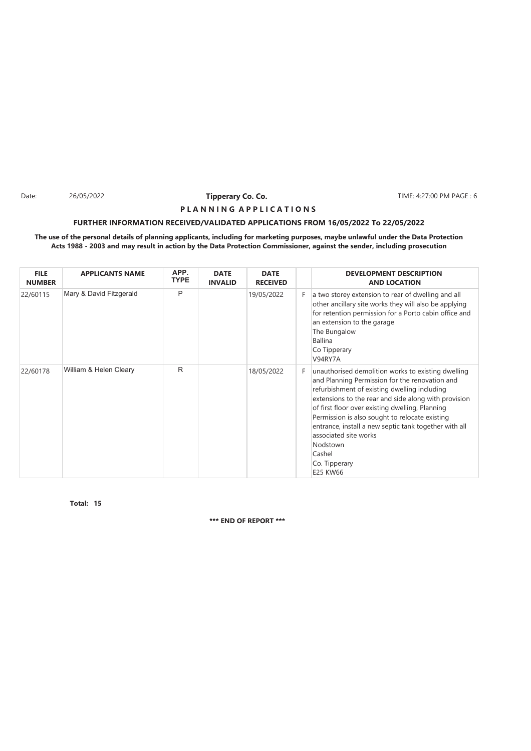Date: 26/05/2022 **Tipperary Co. Co. The Co. The Co. TIME: 4:27:00 PM PAGE : 6** 

#### **P L A N N I N G A P P L I C A T I O N S**

#### **FURTHER INFORMATION RECEIVED/VALIDATED APPLICATIONS FROM 16/05/2022 To 22/05/2022**

#### **The use of the personal details of planning applicants, including for marketing purposes, maybe unlawful under the Data Protection Acts 1988 - 2003 and may result in action by the Data Protection Commissioner, against the sender, including prosecution**

| <b>FILE</b><br><b>NUMBER</b> | <b>APPLICANTS NAME</b>  | APP.<br><b>TYPE</b> | <b>DATE</b><br><b>INVALID</b> | <b>DATE</b><br><b>RECEIVED</b> |    | <b>DEVELOPMENT DESCRIPTION</b><br><b>AND LOCATION</b>                                                                                                                                                                                                                                                                                                                                                                                                  |
|------------------------------|-------------------------|---------------------|-------------------------------|--------------------------------|----|--------------------------------------------------------------------------------------------------------------------------------------------------------------------------------------------------------------------------------------------------------------------------------------------------------------------------------------------------------------------------------------------------------------------------------------------------------|
| 22/60115                     | Mary & David Fitzgerald | P                   |                               | 19/05/2022                     | F. | a two storey extension to rear of dwelling and all<br>other ancillary site works they will also be applying<br>for retention permission for a Porto cabin office and<br>an extension to the garage<br>The Bungalow<br><b>Ballina</b><br>Co Tipperary<br>V94RY7A                                                                                                                                                                                        |
| 22/60178                     | William & Helen Cleary  | R                   |                               | 18/05/2022                     | F. | unauthorised demolition works to existing dwelling<br>and Planning Permission for the renovation and<br>refurbishment of existing dwelling including<br>extensions to the rear and side along with provision<br>of first floor over existing dwelling, Planning<br>Permission is also sought to relocate existing<br>entrance, install a new septic tank together with all<br>associated site works<br>Nodstown<br>Cashel<br>Co. Tipperary<br>E25 KW66 |

**15 Total:**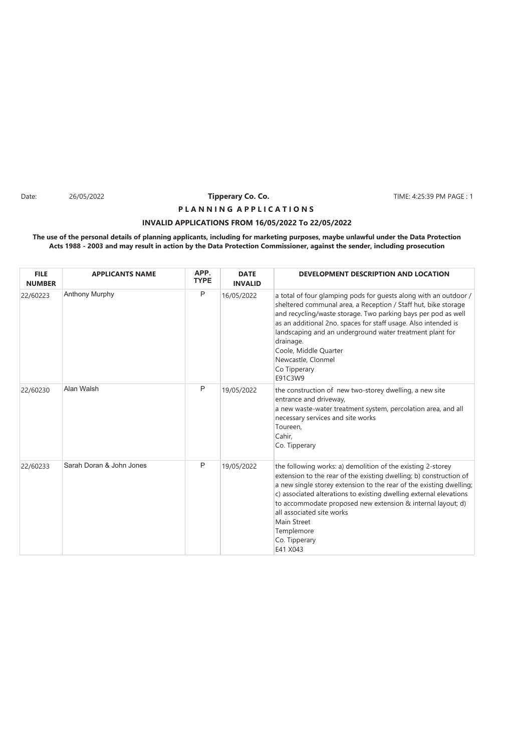Date: 26/05/2022 **Tipperary Co. Co.** TIME: 4:25:39 PM PAGE : 1

# **P L A N N I N G A P P L I C A T I O N S**

### **INVALID APPLICATIONS FROM 16/05/2022 To 22/05/2022**

| <b>FILE</b><br><b>NUMBER</b> | <b>APPLICANTS NAME</b>   | APP.<br><b>TYPE</b> | <b>DATE</b><br><b>INVALID</b> | DEVELOPMENT DESCRIPTION AND LOCATION                                                                                                                                                                                                                                                                                                                                                                                                 |
|------------------------------|--------------------------|---------------------|-------------------------------|--------------------------------------------------------------------------------------------------------------------------------------------------------------------------------------------------------------------------------------------------------------------------------------------------------------------------------------------------------------------------------------------------------------------------------------|
| 22/60223                     | <b>Anthony Murphy</b>    | P                   | 16/05/2022                    | a total of four glamping pods for guests along with an outdoor /<br>sheltered communal area, a Reception / Staff hut, bike storage<br>and recycling/waste storage. Two parking bays per pod as well<br>as an additional 2no. spaces for staff usage. Also intended is<br>landscaping and an underground water treatment plant for<br>drainage.<br>Coole, Middle Quarter<br>Newcastle, Clonmel<br>Co Tipperary<br>E91C3W9             |
| 22/60230                     | Alan Walsh               | P                   | 19/05/2022                    | the construction of new two-storey dwelling, a new site<br>entrance and driveway,<br>a new waste-water treatment system, percolation area, and all<br>necessary services and site works<br>Toureen.<br>Cahir.<br>Co. Tipperary                                                                                                                                                                                                       |
| 22/60233                     | Sarah Doran & John Jones | P                   | 19/05/2022                    | the following works: a) demolition of the existing 2-storey<br>extension to the rear of the existing dwelling; b) construction of<br>a new single storey extension to the rear of the existing dwelling;<br>c) associated alterations to existing dwelling external elevations<br>to accommodate proposed new extension & internal layout; d)<br>all associated site works<br>Main Street<br>Templemore<br>Co. Tipperary<br>E41 X043 |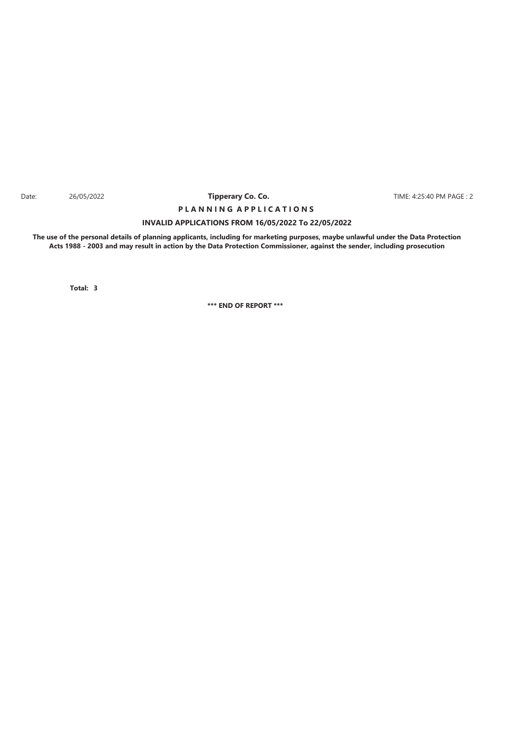#### Date: 26/05/2022 **Tipperary Co. Co. The Co. TIME:** 4:25:40 PM PAGE : 2 **Tipperary Co. Co.**

# **INVALID APPLICATIONS FROM 16/05/2022 To 22/05/2022 P L A N N I N G A P P L I C A T I O N S**

**The use of the personal details of planning applicants, including for marketing purposes, maybe unlawful under the Data Protection Acts 1988 - 2003 and may result in action by the Data Protection Commissioner, against the sender, including prosecution**

**3 Total:**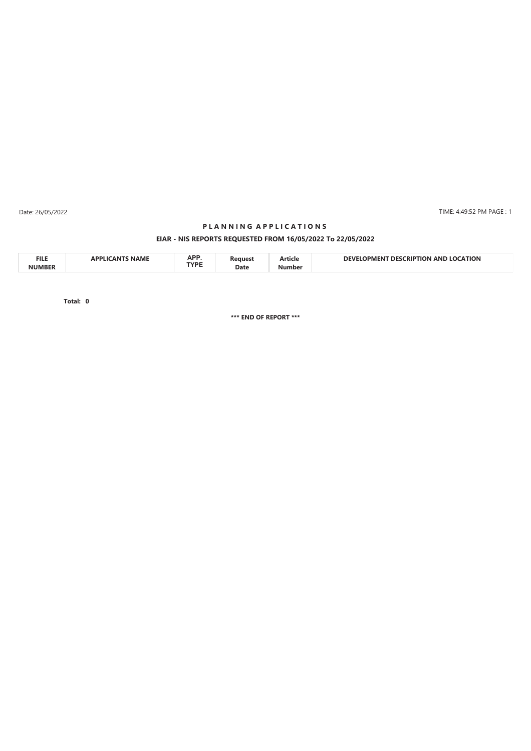Date: 26/05/2022

#### TIME: 4:49:52 PM PAGE : 1

# **EIAR - NIS REPORTS REQUESTED FROM 16/05/2022 To 22/05/2022 P L A N N I N G A P P L I C A T I O N S**

| <b>FILE</b><br><b>NIIMRED</b> |  | $\mathbf{A}$<br>AFI<br>TVDE<br>. | Date | нск | ΓΙΟΝ<br>ANI<br>ч н.<br>m |
|-------------------------------|--|----------------------------------|------|-----|--------------------------|
|-------------------------------|--|----------------------------------|------|-----|--------------------------|

**0 Total:**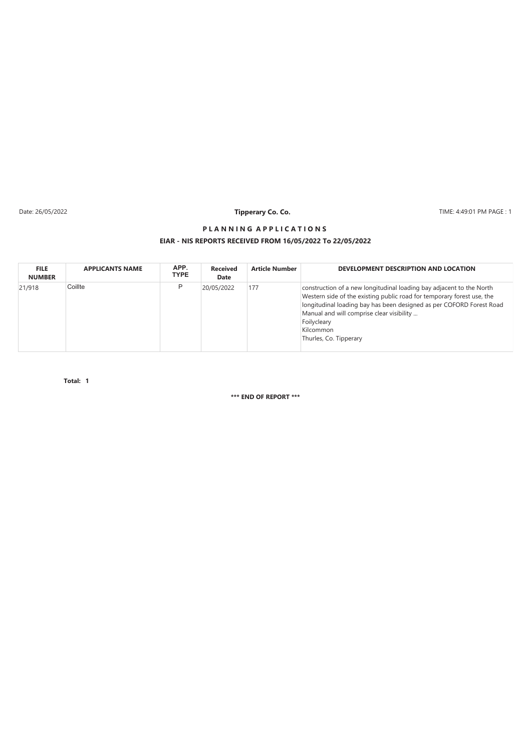Date: 26/05/2022

# **Tipperary Co. Co.**

TIME: 4:49:01 PM PAGE : 1

## **EIAR - NIS REPORTS RECEIVED FROM 16/05/2022 To 22/05/2022 P L A N N I N G A P P L I C A T I O N S**

| <b>FILE</b><br><b>NUMBER</b> | <b>APPLICANTS NAME</b> | APP.<br><b>TYPE</b> | <b>Received</b><br>Date | <b>Article Number</b> | DEVELOPMENT DESCRIPTION AND LOCATION                                                                                                                                                                                                                                                                                      |
|------------------------------|------------------------|---------------------|-------------------------|-----------------------|---------------------------------------------------------------------------------------------------------------------------------------------------------------------------------------------------------------------------------------------------------------------------------------------------------------------------|
| 21/918                       | Coillte                | P                   | 20/05/2022              | 177                   | construction of a new longitudinal loading bay adjacent to the North<br>Western side of the existing public road for temporary forest use, the<br>longitudinal loading bay has been designed as per COFORD Forest Road<br>Manual and will comprise clear visibility<br>Foilycleary<br>Kilcommon<br>Thurles, Co. Tipperary |

**1 Total:**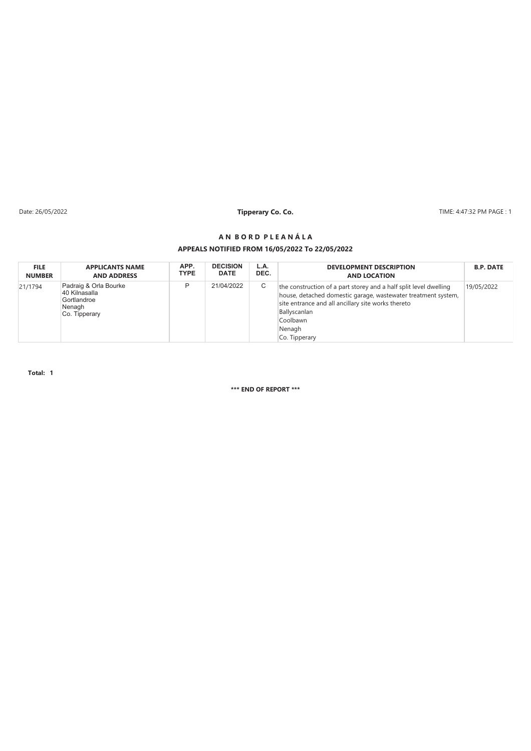Date: 26/05/2022 **Tipperary Co. Co. Co. Co. Co. Co. The CO. 2014** TIME: 4:47:32 PM PAGE : 1

#### **A N B O R D P L E A N Á L A**

#### **APPEALS NOTIFIED FROM 16/05/2022 To 22/05/2022**

| <b>FILE</b>   | <b>APPLICANTS NAME</b>                                                           | APP.        | <b>DECISION</b> | L.A. | <b>DEVELOPMENT DESCRIPTION</b>                                                                                                                                                                                                                  | <b>B.P. DATE</b> |
|---------------|----------------------------------------------------------------------------------|-------------|-----------------|------|-------------------------------------------------------------------------------------------------------------------------------------------------------------------------------------------------------------------------------------------------|------------------|
| <b>NUMBER</b> | <b>AND ADDRESS</b>                                                               | <b>TYPE</b> | <b>DATE</b>     | DEC. | <b>AND LOCATION</b>                                                                                                                                                                                                                             |                  |
| 21/1794       | Padraig & Orla Bourke<br>40 Kilnasalla<br>Gortlandroe<br>Nenagh<br>Co. Tipperary | D           | 21/04/2022      | С    | the construction of a part storey and a half split level dwelling<br>house, detached domestic garage, wastewater treatment system,<br>site entrance and all ancillary site works thereto<br>Ballyscanlan<br>Coolbawn<br>Nenagh<br>Co. Tipperary | 19/05/2022       |

**Total: 1**